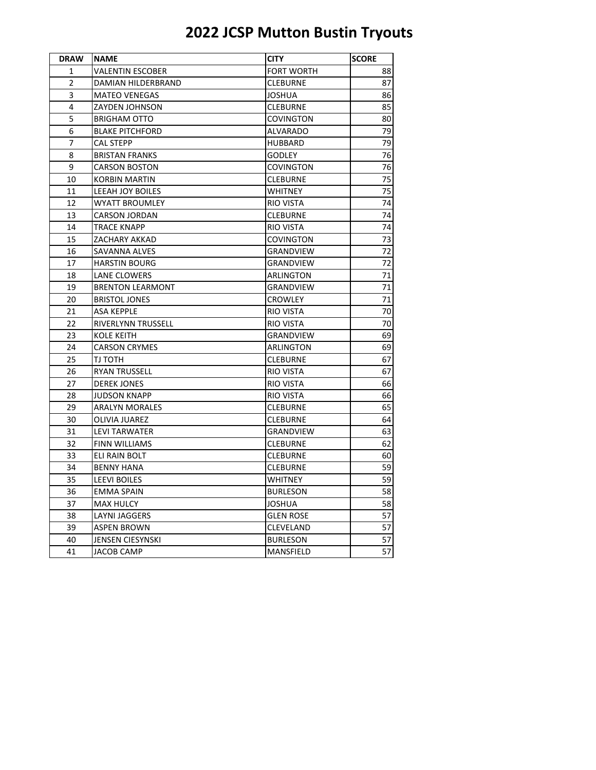| <b>DRAW</b>    | <b>NAME</b>             | <b>CITY</b>       | <b>SCORE</b> |
|----------------|-------------------------|-------------------|--------------|
| 1              | VALENTIN ESCOBER        | <b>FORT WORTH</b> | 88           |
| $\overline{2}$ | DAMIAN HILDERBRAND      | <b>CLEBURNE</b>   | 87           |
| 3              | <b>MATEO VENEGAS</b>    | <b>JOSHUA</b>     | 86           |
| 4              | ZAYDEN JOHNSON          | <b>CLEBURNE</b>   | 85           |
| 5              | <b>BRIGHAM OTTO</b>     | <b>COVINGTON</b>  | 80           |
| 6              | <b>BLAKE PITCHFORD</b>  | ALVARADO          | 79           |
| 7              | <b>CAL STEPP</b>        | <b>HUBBARD</b>    | 79           |
| 8              | <b>BRISTAN FRANKS</b>   | <b>GODLEY</b>     | 76           |
| 9              | <b>CARSON BOSTON</b>    | COVINGTON         | 76           |
| 10             | <b>KORBIN MARTIN</b>    | <b>CLEBURNE</b>   | 75           |
| 11             | <b>LEEAH JOY BOILES</b> | WHITNEY           | 75           |
| 12             | <b>WYATT BROUMLEY</b>   | <b>RIO VISTA</b>  | 74           |
| 13             | <b>CARSON JORDAN</b>    | <b>CLEBURNE</b>   | 74           |
| 14             | TRACE KNAPP             | RIO VISTA         | 74           |
| 15             | ZACHARY AKKAD           | COVINGTON         | 73           |
| 16             | SAVANNA ALVES           | <b>GRANDVIEW</b>  | 72           |
| 17             | <b>HARSTIN BOURG</b>    | GRANDVIEW         | 72           |
| 18             | <b>LANE CLOWERS</b>     | ARLINGTON         | 71           |
| 19             | <b>BRENTON LEARMONT</b> | GRANDVIEW         | 71           |
| 20             | <b>BRISTOL JONES</b>    | <b>CROWLEY</b>    | 71           |
| 21             | <b>ASA KEPPLE</b>       | RIO VISTA         | 70           |
| 22             | RIVERLYNN TRUSSELL      | RIO VISTA         | 70           |
| 23             | <b>KOLE KEITH</b>       | <b>GRANDVIEW</b>  | 69           |
| 24             | <b>CARSON CRYMES</b>    | ARLINGTON         | 69           |
| 25             | TJ TOTH                 | <b>CLEBURNE</b>   | 67           |
| 26             | <b>RYAN TRUSSELL</b>    | <b>RIO VISTA</b>  | 67           |
| 27             | <b>DEREK JONES</b>      | RIO VISTA         | 66           |
| 28             | <b>JUDSON KNAPP</b>     | RIO VISTA         | 66           |
| 29             | <b>ARALYN MORALES</b>   | <b>CLEBURNE</b>   | 65           |
| 30             | OLIVIA JUAREZ           | <b>CLEBURNE</b>   | 64           |
| 31             | LEVI TARWATER           | GRANDVIEW         | 63           |
| 32             | FINN WILLIAMS           | <b>CLEBURNE</b>   | 62           |
| 33             | ELI RAIN BOLT           | <b>CLEBURNE</b>   | 60           |
| 34             | <b>BENNY HANA</b>       | <b>CLEBURNE</b>   | 59           |
| 35             | <b>LEEVI BOILES</b>     | <b>WHITNEY</b>    | 59           |
| 36             | EMMA SPAIN              | <b>BURLESON</b>   | 58           |
| 37             | <b>MAX HULCY</b>        | JOSHUA            | 58           |
| 38             | <b>LAYNI JAGGERS</b>    | <b>GLEN ROSE</b>  | 57           |
| 39             | <b>ASPEN BROWN</b>      | CLEVELAND         | 57           |
| 40             | JENSEN CIESYNSKI        | <b>BURLESON</b>   | 57           |
| 41             | <b>JACOB CAMP</b>       | <b>MANSFIELD</b>  | 57           |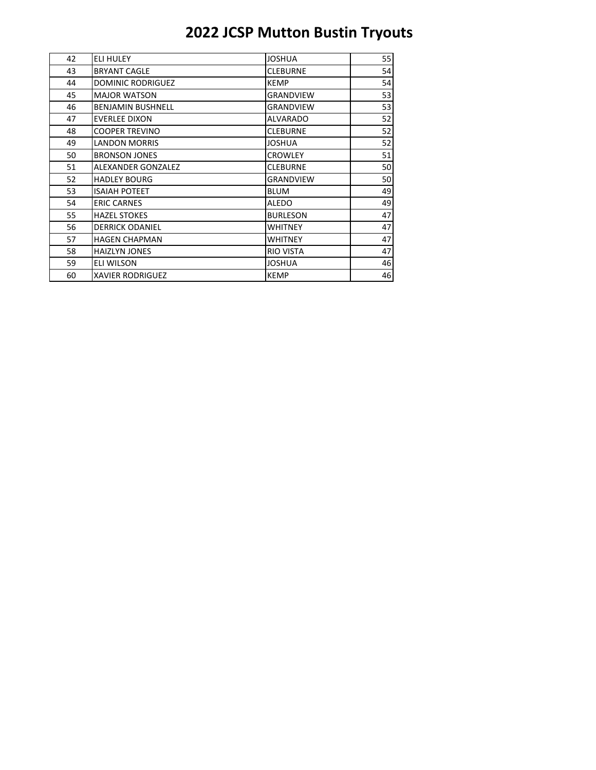| 42 | <b>ELI HULEY</b>         | <b>JOSHUA</b>    | 55 |
|----|--------------------------|------------------|----|
| 43 | <b>BRYANT CAGLE</b>      | <b>CLEBURNE</b>  | 54 |
| 44 | <b>DOMINIC RODRIGUEZ</b> | <b>KEMP</b>      | 54 |
| 45 | <b>MAJOR WATSON</b>      | <b>GRANDVIEW</b> | 53 |
| 46 | <b>BENJAMIN BUSHNELL</b> | <b>GRANDVIEW</b> | 53 |
| 47 | <b>EVERLEE DIXON</b>     | <b>ALVARADO</b>  | 52 |
| 48 | <b>COOPER TREVINO</b>    | <b>CLEBURNE</b>  | 52 |
| 49 | <b>LANDON MORRIS</b>     | <b>JOSHUA</b>    | 52 |
| 50 | <b>BRONSON JONES</b>     | <b>CROWLEY</b>   | 51 |
| 51 | ALEXANDER GONZALEZ       | <b>CLEBURNE</b>  | 50 |
| 52 | <b>HADLEY BOURG</b>      | <b>GRANDVIEW</b> | 50 |
| 53 | <b>ISAIAH POTEET</b>     | <b>BLUM</b>      | 49 |
| 54 | <b>ERIC CARNES</b>       | <b>ALEDO</b>     | 49 |
| 55 | <b>HAZEL STOKES</b>      | <b>BURLESON</b>  | 47 |
| 56 | <b>DERRICK ODANIEL</b>   | <b>WHITNEY</b>   | 47 |
| 57 | <b>HAGEN CHAPMAN</b>     | <b>WHITNEY</b>   | 47 |
| 58 | <b>HAIZLYN JONES</b>     | <b>RIO VISTA</b> | 47 |
| 59 | <b>ELI WILSON</b>        | <b>JOSHUA</b>    | 46 |
| 60 | <b>XAVIER RODRIGUEZ</b>  | <b>KEMP</b>      | 46 |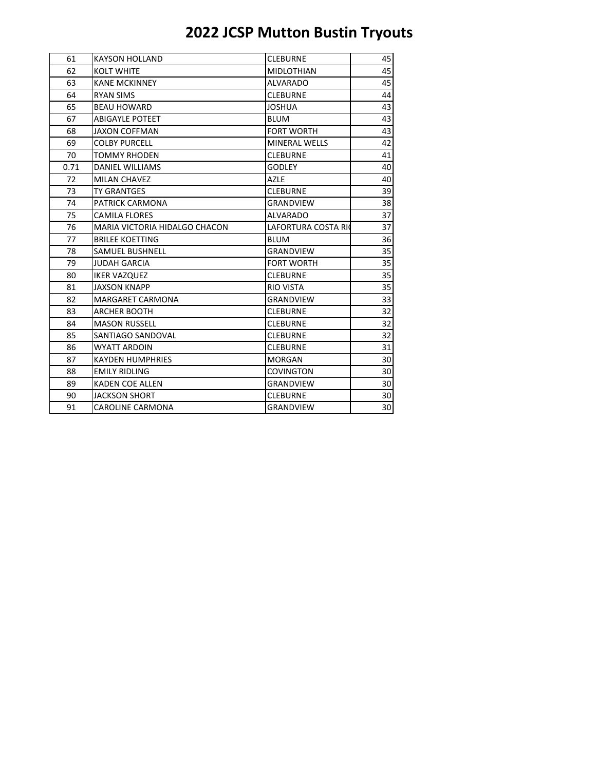| 61   | <b>KAYSON HOLLAND</b>                | <b>CLEBURNE</b>            | 45 |
|------|--------------------------------------|----------------------------|----|
| 62   | <b>KOLT WHITE</b>                    | <b>MIDLOTHIAN</b>          | 45 |
| 63   | <b>KANE MCKINNEY</b>                 | <b>ALVARADO</b>            | 45 |
| 64   | <b>RYAN SIMS</b>                     | <b>CLEBURNE</b>            | 44 |
| 65   | <b>BEAU HOWARD</b>                   | <b>JOSHUA</b>              | 43 |
| 67   | <b>ABIGAYLE POTEET</b>               | <b>BLUM</b>                | 43 |
| 68   | JAXON COFFMAN                        | <b>FORT WORTH</b>          | 43 |
| 69   | <b>COLBY PURCELL</b>                 | MINERAL WELLS              | 42 |
| 70   | TOMMY RHODEN                         | <b>CLEBURNE</b>            | 41 |
| 0.71 | <b>DANIEL WILLIAMS</b>               | GODLEY                     | 40 |
| 72   | <b>MILAN CHAVEZ</b>                  | <b>AZLE</b>                | 40 |
| 73   | <b>TY GRANTGES</b>                   | <b>CLEBURNE</b>            | 39 |
| 74   | PATRICK CARMONA                      | <b>GRANDVIEW</b>           | 38 |
| 75   | <b>CAMILA FLORES</b>                 | ALVARADO                   | 37 |
| 76   | <b>MARIA VICTORIA HIDALGO CHACON</b> | <b>LAFORTURA COSTA RIC</b> | 37 |
| 77   | <b>BRILEE KOETTING</b>               | <b>BLUM</b>                | 36 |
| 78   | <b>SAMUEL BUSHNELL</b>               | <b>GRANDVIEW</b>           | 35 |
| 79   | <b>JUDAH GARCIA</b>                  | <b>FORT WORTH</b>          | 35 |
| 80   | <b>IKER VAZQUEZ</b>                  | <b>CLEBURNE</b>            | 35 |
| 81   | <b>JAXSON KNAPP</b>                  | RIO VISTA                  | 35 |
| 82   | <b>MARGARET CARMONA</b>              | <b>GRANDVIEW</b>           | 33 |
| 83   | <b>ARCHER BOOTH</b>                  | <b>CLEBURNE</b>            | 32 |
| 84   | <b>MASON RUSSELL</b>                 | <b>CLEBURNE</b>            | 32 |
| 85   | SANTIAGO SANDOVAL                    | <b>CLEBURNE</b>            | 32 |
| 86   | WYATT ARDOIN                         | <b>CLEBURNE</b>            | 31 |
| 87   | <b>KAYDEN HUMPHRIES</b>              | <b>MORGAN</b>              | 30 |
| 88   | <b>EMILY RIDLING</b>                 | <b>COVINGTON</b>           | 30 |
| 89   | <b>KADEN COE ALLEN</b>               | <b>GRANDVIEW</b>           | 30 |
| 90   | JACKSON SHORT                        | <b>CLEBURNE</b>            | 30 |
| 91   | <b>CAROLINE CARMONA</b>              | <b>GRANDVIEW</b>           | 30 |